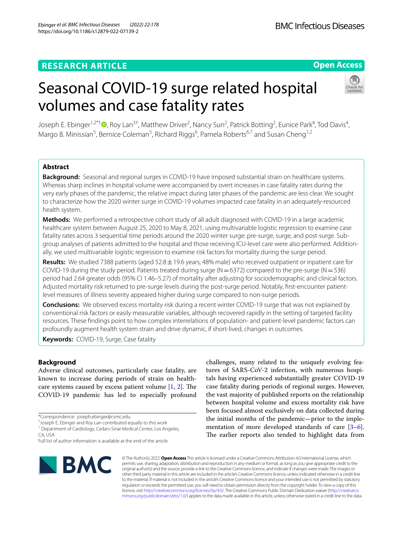Ebinger *et al. BMC Infectious Diseases (2022) 22:178*  https://doi.org/10.1186/s12879-022-07139-2

# **Open Access**

# Seasonal COVID-19 surge related hospital volumes and case fatality rates



Joseph E. Ebinger<sup>1,2\*†</sup>®[,](http://orcid.org/0000-0002-0587-1572) Roy Lan<sup>3†</sup>, Matthew Driver<sup>2</sup>, Nancy Sun<sup>2</sup>, Patrick Botting<sup>2</sup>, Eunice Park<sup>4</sup>, Tod Davis<sup>4</sup>, Margo B. Minissian<sup>5</sup>, Bernice Coleman<sup>5</sup>, Richard Riggs<sup>6</sup>, Pamela Roberts<sup>6,7</sup> and Susan Cheng<sup>1,2</sup>

# **Abstract**

**Background:** Seasonal and regional surges in COVID-19 have imposed substantial strain on healthcare systems. Whereas sharp inclines in hospital volume were accompanied by overt increases in case fatality rates during the very early phases of the pandemic, the relative impact during later phases of the pandemic are less clear. We sought to characterize how the 2020 winter surge in COVID-19 volumes impacted case fatality in an adequately-resourced health system.

**Methods:** We performed a retrospective cohort study of all adult diagnosed with COVID-19 in a large academic healthcare system between August 25, 2020 to May 8, 2021, using multivariable logistic regression to examine case fatality rates across 3 sequential time periods around the 2020 winter surge: pre-surge, surge, and post-surge. Subgroup analyses of patients admitted to the hospital and those receiving ICU-level care were also performed. Additionally, we used multivariable logistic regression to examine risk factors for mortality during the surge period.

**Results:** We studied 7388 patients (aged 52.8±19.6 years, 48% male) who received outpatient or inpatient care for COVID-19 during the study period. Patients treated during surge ( $N=6372$ ) compared to the pre-surge ( $N=536$ ) period had 2.64 greater odds (95% CI 1.46–5.27) of mortality after adjusting for sociodemographic and clinical factors. Adjusted mortality risk returned to pre-surge levels during the post-surge period. Notably, frst-encounter patientlevel measures of illness severity appeared higher during surge compared to non-surge periods.

**Conclusions:** We observed excess mortality risk during a recent winter COVID-19 surge that was not explained by conventional risk factors or easily measurable variables, although recovered rapidly in the setting of targeted facility resources. These fndings point to how complex interrelations of population- and patient-level pandemic factors can profoundly augment health system strain and drive dynamic, if short-lived, changes in outcomes.

**Keywords:** COVID-19, Surge, Case fatality

# **Background**

Adverse clinical outcomes, particularly case fatality, are known to increase during periods of strain on healthcare systems caused by excess patient volume  $[1, 2]$  $[1, 2]$  $[1, 2]$  $[1, 2]$ . The COVID-19 pandemic has led to especially profound

<sup>1</sup> Department of Cardiology, Cedars-Sinai Medical Center, Los Angeles, CA, USA

Full list of author information is available at the end of the article



challenges, many related to the uniquely evolving features of SARS-CoV-2 infection, with numerous hospitals having experienced substantially greater COVID-19 case fatality during periods of regional surges. However, the vast majority of published reports on the relationship between hospital volume and excess mortality risk have been focused almost exclusively on data collected during the initial months of the pandemic—prior to the implementation of more developed standards of care [\[3](#page-6-2)[–6](#page-6-3)]. The earlier reports also tended to highlight data from

© The Author(s) 2022. **Open Access** This article is licensed under a Creative Commons Attribution 4.0 International License, which permits use, sharing, adaptation, distribution and reproduction in any medium or format, as long as you give appropriate credit to the original author(s) and the source, provide a link to the Creative Commons licence, and indicate if changes were made. The images or other third party material in this article are included in the article's Creative Commons licence, unless indicated otherwise in a credit line to the material. If material is not included in the article's Creative Commons licence and your intended use is not permitted by statutory regulation or exceeds the permitted use, you will need to obtain permission directly from the copyright holder. To view a copy of this licence, visit [http://creativecommons.org/licenses/by/4.0/.](http://creativecommons.org/licenses/by/4.0/) The Creative Commons Public Domain Dedication waiver ([http://creativeco](http://creativecommons.org/publicdomain/zero/1.0/) [mmons.org/publicdomain/zero/1.0/](http://creativecommons.org/publicdomain/zero/1.0/)) applies to the data made available in this article, unless otherwise stated in a credit line to the data.

<sup>\*</sup>Correspondence: joseph.ebinger@csmc.edu

<sup>†</sup> Joseph E. Ebinger and Roy Lan contributed equally to this work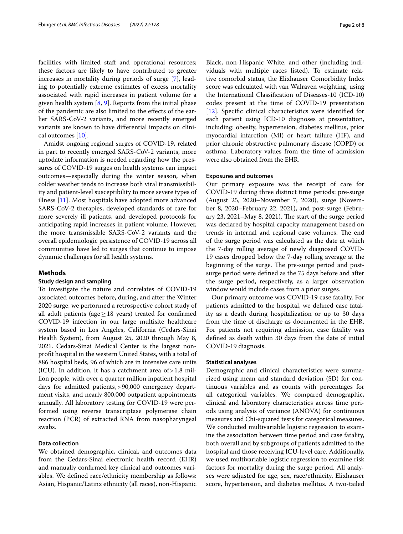facilities with limited staff and operational resources; these factors are likely to have contributed to greater increases in mortality during periods of surge [\[7](#page-6-4)], leading to potentially extreme estimates of excess mortality associated with rapid increases in patient volume for a given health system  $[8, 9]$  $[8, 9]$  $[8, 9]$  $[8, 9]$ . Reports from the initial phase of the pandemic are also limited to the efects of the earlier SARS-CoV-2 variants, and more recently emerged variants are known to have diferential impacts on clinical outcomes [[10\]](#page-6-7).

Amidst ongoing regional surges of COVID-19, related in part to recently emerged SARS-CoV-2 variants, more uptodate information is needed regarding how the pressures of COVID-19 surges on health systems can impact outcomes—especially during the winter season, when colder weather tends to increase both viral transmissibility and patient-level susceptibility to more severe types of illness [\[11\]](#page-6-8). Most hospitals have adopted more advanced SARS-CoV-2 therapies, developed standards of care for more severely ill patients, and developed protocols for anticipating rapid increases in patient volume. However, the more transmissible SARS-CoV-2 variants and the overall epidemiologic persistence of COVID-19 across all communities have led to surges that continue to impose dynamic challenges for all health systems.

## **Methods**

## **Study design and sampling**

To investigate the nature and correlates of COVID-19 associated outcomes before, during, and after the Winter 2020 surge, we performed a retrospective cohort study of all adult patients (age  $\geq$  18 years) treated for confirmed COVID-19 infection in our large multisite healthcare system based in Los Angeles, California (Cedars-Sinai Health System), from August 25, 2020 through May 8, 2021. Cedars-Sinai Medical Center is the largest nonproft hospital in the western United States, with a total of 886 hospital beds, 96 of which are in intensive care units (ICU). In addition, it has a catchment area of  $>1.8$  million people, with over a quarter million inpatient hospital days for admitted patients,>90,000 emergency department visits, and nearly 800,000 outpatient appointments annually. All laboratory testing for COVID-19 were performed using reverse transcriptase polymerase chain reaction (PCR) of extracted RNA from nasopharyngeal swabs.

## **Data collection**

We obtained demographic, clinical, and outcomes data from the Cedars-Sinai electronic health record (EHR) and manually confrmed key clinical and outcomes variables. We defned race/ethnicity membership as follows: Asian, Hispanic/Latinx ethnicity (all races), non-Hispanic Black, non-Hispanic White, and other (including individuals with multiple races listed). To estimate relative comorbid status, the Elixhauser Comorbidity Index score was calculated with van Walraven weighting, using the International Classifcation of Diseases-10 (ICD-10) codes present at the time of COVID-19 presentation [[12\]](#page-6-9). Specifc clinical characteristics were identifed for each patient using ICD-10 diagnoses at presentation, including: obesity, hypertension, diabetes mellitus, prior myocardial infarction (MI) or heart failure (HF), and prior chronic obstructive pulmonary disease (COPD) or asthma. Laboratory values from the time of admission were also obtained from the EHR.

# **Exposures and outcomes**

Our primary exposure was the receipt of care for COVID-19 during three distinct time periods: pre-surge (August 25, 2020–November 7, 2020), surge (November 8, 2020–February 22, 2021), and post-surge (February 23, 2021–May 8, 2021). The start of the surge period was declared by hospital capacity management based on trends in internal and regional case volumes. The end of the surge period was calculated as the date at which the 7-day rolling average of newly diagnosed COVID-19 cases dropped below the 7-day rolling average at the beginning of the surge. The pre-surge period and postsurge period were defned as the 75 days before and after the surge period, respectively, as a larger observation window would include cases from a prior surges.

Our primary outcome was COVID-19 case fatality. For patients admitted to the hospital, we defned case fatality as a death during hospitalization or up to 30 days from the time of discharge as documented in the EHR. For patients not requiring admission, case fatality was defned as death within 30 days from the date of initial COVID-19 diagnosis.

#### **Statistical analyses**

Demographic and clinical characteristics were summarized using mean and standard deviation (SD) for continuous variables and as counts with percentages for all categorical variables. We compared demographic, clinical and laboratory characteristics across time periods using analysis of variance (ANOVA) for continuous measures and Chi-squared tests for categorical measures. We conducted multivariable logistic regression to examine the association between time period and case fatality, both overall and by subgroups of patients admitted to the hospital and those receiving ICU-level care. Additionally, we used multivariable logistic regression to examine risk factors for mortality during the surge period. All analyses were adjusted for age, sex, race/ethnicity, Elixhauser score, hypertension, and diabetes mellitus. A two-tailed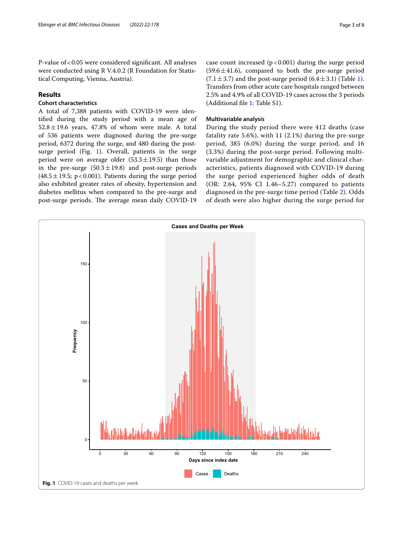P-value of <0.05 were considered significant. All analyses were conducted using R V.4.0.2 (R Foundation for Statistical Computing, Vienna, Austria).

# **Results**

# **Cohort characteristics**

A total of 7,388 patients with COVID-19 were identifed during the study period with a mean age of  $52.8 \pm 19.6$  years, 47.8% of whom were male. A total of 536 patients were diagnosed during the pre-surge period, 6372 during the surge, and 480 during the post-surge period (Fig. [1\)](#page-2-0). Overall, patients in the surge period were on average older  $(53.3 \pm 19.5)$  than those in the pre-surge  $(50.3 \pm 19.8)$  and post-surge periods  $(48.5 \pm 19.5; p < 0.001)$ . Patients during the surge period also exhibited greater rates of obesity, hypertension and diabetes mellitus when compared to the pre-surge and post-surge periods. The average mean daily COVID-19 case count increased  $(p < 0.001)$  during the surge period  $(59.6 \pm 41.6)$ , compared to both the pre-surge period  $(7.1 \pm 3.7)$  $(7.1 \pm 3.7)$  $(7.1 \pm 3.7)$  and the post-surge period  $(6.4 \pm 3.1)$  (Table 1). Transfers from other acute care hospitals ranged between 2.5% and 4.9% of all COVID-19 cases across the 3 periods (Additional fle [1](#page-6-10): Table S1).

# **Multivariable analysis**

During the study period there were 412 deaths (case fatality rate 5.6%), with 11 (2.1%) during the pre-surge period, 385 (6.0%) during the surge period, and 16 (3.3%) during the post-surge period. Following multivariable adjustment for demographic and clinical characteristics, patients diagnosed with COVID-19 during the surge period experienced higher odds of death (OR: 2.64, 95% CI 1.46–5.27) compared to patients diagnosed in the pre-surge time period (Table [2](#page-3-1)). Odds of death were also higher during the surge period for

<span id="page-2-0"></span>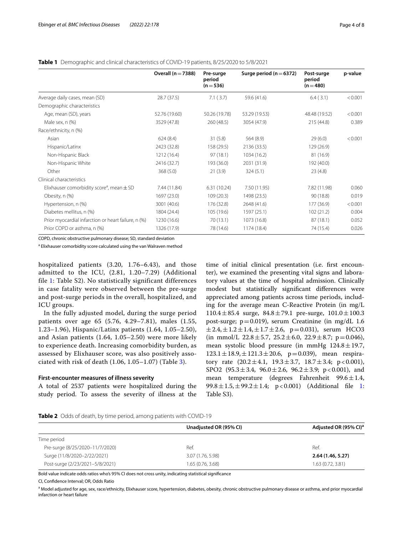<span id="page-3-0"></span>

|  |  |  |  | <b>Table 1</b> Demographic and clinical characteristics of COVID-19 patients, 8/25/2020 to 5/8/2021 |
|--|--|--|--|-----------------------------------------------------------------------------------------------------|
|--|--|--|--|-----------------------------------------------------------------------------------------------------|

|                                                           | Overall $(n=7388)$ | Pre-surge<br>period<br>$(n=536)$ | Surge period ( $n = 6372$ ) | Post-surge<br>period<br>$(n=480)$ | p-value |
|-----------------------------------------------------------|--------------------|----------------------------------|-----------------------------|-----------------------------------|---------|
| Average daily cases, mean (SD)                            | 28.7 (37.5)        | 7.1(3.7)                         | 59.6 (41.6)                 | 6.4(3.1)                          | < 0.001 |
| Demographic characteristics                               |                    |                                  |                             |                                   |         |
| Age, mean (SD), years                                     | 52.76 (19.60)      | 50.26 (19.78)                    | 53.29 (19.53)               | 48.48 (19.52)                     | < 0.001 |
| Male sex, n (%)                                           | 3529 (47.8)        | 260 (48.5)                       | 3054 (47.9)                 | 215 (44.8)                        | 0.389   |
| Race/ethnicity, n (%)                                     |                    |                                  |                             |                                   |         |
| Asian                                                     | 624(8.4)           | 31(5.8)                          | 564(8.9)                    | 29(6.0)                           | < 0.001 |
| Hispanic/Latinx                                           | 2423 (32.8)        | 158 (29.5)                       | 2136 (33.5)                 | 129 (26.9)                        |         |
| Non-Hispanic Black                                        | 1212 (16.4)        | 97(18.1)                         | 1034 (16.2)                 | 81 (16.9)                         |         |
| Non-Hispanic White                                        | 2416 (32.7)        | 193 (36.0)                       | 2031 (31.9)                 | 192 (40.0)                        |         |
| Other                                                     | 368(5.0)           | 21(3.9)                          | 324(5.1)                    | 23(4.8)                           |         |
| Clinical characteristics                                  |                    |                                  |                             |                                   |         |
| Elixhauser comorbidity score <sup>a</sup> , mean $\pm$ SD | 7.44 (11.84)       | 6.31(10.24)                      | 7.50 (11.95)                | 7.82 (11.98)                      | 0.060   |
| Obesity, n (%)                                            | 1697 (23.0)        | 109(20.3)                        | 1498 (23.5)                 | 90 (18.8)                         | 0.019   |
| Hypertension, n (%)                                       | 3001 (40.6)        | 176 (32.8)                       | 2648 (41.6)                 | 177 (36.9)                        | < 0.001 |
| Diabetes mellitus, n (%)                                  | 1804 (24.4)        | 105 (19.6)                       | 1597 (25.1)                 | 102(21.2)                         | 0.004   |
| Prior myocardial infarction or heart failure, n (%)       | 1230 (16.6)        | 70 (13.1)                        | 1073 (16.8)                 | 87(18.1)                          | 0.052   |
| Prior COPD or asthma, n (%)                               | 1326 (17.9)        | 78 (14.6)                        | 1174 (18.4)                 | 74 (15.4)                         | 0.026   |

COPD, chronic obstructive pulmonary disease; SD, standard deviation

<sup>a</sup> Elixhauser comorbidity score calculated using the van Walraven method

hospitalized patients (3.20, 1.76–6.43), and those admitted to the ICU, (2.81, 1.20–7.29) (Additional file [1](#page-6-10): Table S2). No statistically significant differences in case fatality were observed between the pre-surge and post-surge periods in the overall, hospitalized, and ICU groups.

In the fully adjusted model, during the surge period patients over age 65 (5.76, 4.29–7.81), males (1.55, 1.23–1.96), Hispanic/Latinx patients (1.64, 1.05–2.50), and Asian patients (1.64, 1.05–2.50) were more likely to experience death. Increasing comorbidity burden, as assessed by Elixhauser score, was also positively associated with risk of death (1.06, 1.05–1.07) (Table [3](#page-4-0)).

## **First‑encounter measures of illness severity**

A total of 2537 patients were hospitalized during the study period. To assess the severity of illness at the

time of initial clinical presentation (i.e. frst encounter), we examined the presenting vital signs and laboratory values at the time of hospital admission. Clinically modest but statistically signifcant diferences were appreciated among patients across time periods, including for the average mean C-Reactive Protein (in mg/L  $110.4 \pm 85.4$  surge,  $84.8 \pm 79.1$  pre-surge,  $101.0 \pm 100.3$ post-surge; p=0.019), serum Creatinine (in mg/dL 1.6  $\pm 2.4, \pm 1.2 \pm 1.4, \pm 1.7 \pm 2.6, \text{ p}=0.031$ , serum HCO3 (in mmol/L  $22.8 \pm 5.7$ ,  $25.2 \pm 6.0$ ,  $22.9 \pm 8.7$ ; p=0.046), mean systolic blood pressure (in mmHg  $124.8 \pm 19.7$ ,  $123.1 \pm 18.9, \pm 121.3 \pm 20.6, p=0.039$ , mean respiratory rate  $(20.2 \pm 4.1, 19.3 \pm 3.7, 18.7 \pm 3.4; p < 0.001)$ , SPO2 (95.3±3.4,  $96.0 \pm 2.6$ ,  $96.2 \pm 3.9$ ; p<0.001), and mean temperature (degrees Fahrenheit 99.6±1.4, 99.8  $\pm$  [1](#page-6-10).5,  $\pm$  99.2  $\pm$  1.4; p < 0.001) (Additional file 1: Table S3).

<span id="page-3-1"></span>**Table 2** Odds of death, by time period, among patients with COVID-19

|                                 | Unadjusted OR (95% CI) | Adjusted OR (95% CI) <sup>a</sup> |
|---------------------------------|------------------------|-----------------------------------|
| Time period                     |                        |                                   |
| Pre-surge (8/25/2020-11/7/2020) | Ref.                   | Ref.                              |
| Surge (11/8/2020-2/22/2021)     | 3.07 (1.76, 5.98)      | 2.64(1.46, 5.27)                  |
| Post-surge (2/23/2021-5/8/2021) | 1.65(0.76, 3.68)       | 1.63(0.72, 3.81)                  |

Bold value indicate odds ratios who's 95% CI does not cross unity, indicating statistical signifcance

CI, Confdence Interval; OR, Odds Ratio

<sup>a</sup> Model adjusted for age, sex, race/ethnicity, Elixhauser score, hypertension, diabetes, obesity, chronic obstructive pulmonary disease or asthma, and prior myocardial infarction or heart failure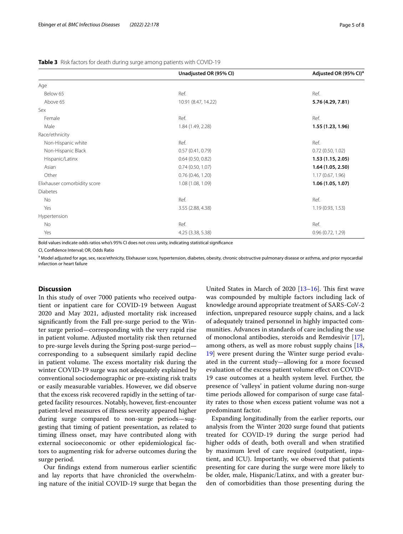|                              | Unadjusted OR (95% CI) | Adjusted OR (95% CI) <sup>8</sup> |
|------------------------------|------------------------|-----------------------------------|
| Age                          |                        |                                   |
| Below 65                     | Ref.                   | Ref.                              |
| Above 65                     | 10.91 (8.47, 14.22)    | 5.76 (4.29, 7.81)                 |
| Sex                          |                        |                                   |
| Female                       | Ref.                   | Ref.                              |
| Male                         | 1.84 (1.49, 2.28)      | 1.55 (1.23, 1.96)                 |
| Race/ethnicity               |                        |                                   |
| Non-Hispanic white           | Ref.                   | Ref.                              |
| Non-Hispanic Black           | 0.57(0.41, 0.79)       | 0.72(0.50, 1.02)                  |
| Hispanic/Latinx              | $0.64$ (0.50, 0.82)    | 1.53(1.15, 2.05)                  |
| Asian                        | 0.74(0.50, 1.07)       | 1.64(1.05, 2.50)                  |
| Other                        | 0.76(0.46, 1.20)       | 1.17(0.67, 1.96)                  |
| Elixhauser comorbidity score | 1.08 (1.08, 1.09)      | 1.06(1.05, 1.07)                  |
| <b>Diabetes</b>              |                        |                                   |
| No                           | Ref.                   | Ref.                              |
| Yes                          | 3.55 (2.88, 4.38)      | 1.19(0.93, 1.53)                  |
| Hypertension                 |                        |                                   |
| No                           | Ref.                   | Ref.                              |
| Yes                          | 4.25 (3.38, 5.38)      | 0.96(0.72, 1.29)                  |
|                              |                        |                                   |

<span id="page-4-0"></span>**Table 3** Risk factors for death during surge among patients with COVID-19

Bold values indicate odds ratios who's 95% CI does not cross unity, indicating statistical signifcance

CI, Confdence Interval; OR, Odds Ratio

<sup>a</sup> Model adjusted for age, sex, race/ethnicity, Elixhauser score, hypertension, diabetes, obesity, chronic obstructive pulmonary disease or asthma, and prior myocardial infarction or heart failure

## **Discussion**

In this study of over 7000 patients who received outpatient or inpatient care for COVID-19 between August 2020 and May 2021, adjusted mortality risk increased signifcantly from the Fall pre-surge period to the Winter surge period—corresponding with the very rapid rise in patient volume. Adjusted mortality risk then returned to pre-surge levels during the Spring post-surge period corresponding to a subsequent similarly rapid decline in patient volume. The excess mortality risk during the winter COVID-19 surge was not adequately explained by conventional sociodemographic or pre-existing risk traits or easily measurable variables. However, we did observe that the excess risk recovered rapidly in the setting of targeted facility resources. Notably, however, frst-encounter patient-level measures of illness severity appeared higher during surge compared to non-surge periods—suggesting that timing of patient presentation, as related to timing illness onset, may have contributed along with external socioeconomic or other epidemiological factors to augmenting risk for adverse outcomes during the surge period.

Our fndings extend from numerous earlier scientifc and lay reports that have chronicled the overwhelming nature of the initial COVID-19 surge that began the United States in March of 2020  $[13-16]$  $[13-16]$ . This first wave was compounded by multiple factors including lack of knowledge around appropriate treatment of SARS-CoV-2 infection, unprepared resource supply chains, and a lack of adequately trained personnel in highly impacted communities. Advances in standards of care including the use of monoclonal antibodies, steroids and Remdesivir [\[17](#page-6-13)], among others, as well as more robust supply chains [[18](#page-6-14), [19\]](#page-6-15) were present during the Winter surge period evaluated in the current study—allowing for a more focused evaluation of the excess patient volume efect on COVID-19 case outcomes at a health system level. Further, the presence of 'valleys' in patient volume during non-surge time periods allowed for comparison of surge case fatality rates to those when excess patient volume was not a predominant factor.

Expanding longitudinally from the earlier reports, our analysis from the Winter 2020 surge found that patients treated for COVID-19 during the surge period had higher odds of death, both overall and when stratifed by maximum level of care required (outpatient, inpatient, and ICU). Importantly, we observed that patients presenting for care during the surge were more likely to be older, male, Hispanic/Latinx, and with a greater burden of comorbidities than those presenting during the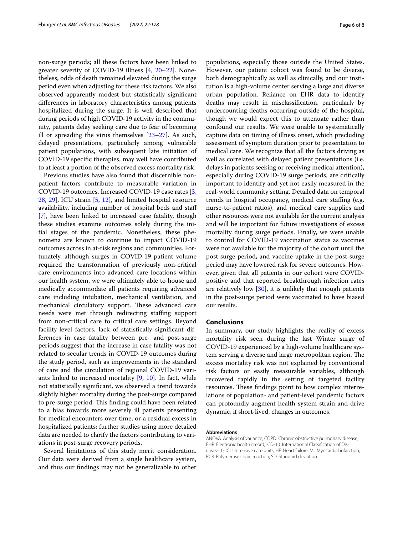non-surge periods; all these factors have been linked to greater severity of COVID-19 illness [\[4](#page-6-16), [20](#page-7-0)[–22](#page-7-1)]. Nonetheless, odds of death remained elevated during the surge period even when adjusting for these risk factors. We also observed apparently modest but statistically signifcant diferences in laboratory characteristics among patients hospitalized during the surge. It is well described that during periods of high COVID-19 activity in the community, patients delay seeking care due to fear of becoming ill or spreading the virus themselves [\[23](#page-7-2)[–27\]](#page-7-3). As such, delayed presentations, particularly among vulnerable patient populations, with subsequent late initiation of COVID-19 specifc therapies, may well have contributed to at least a portion of the observed excess mortality risk.

Previous studies have also found that discernible nonpatient factors contribute to measurable variation in COVID-19 outcomes. Increased COVID-19 case rates [\[3](#page-6-2), [28,](#page-7-4) [29\]](#page-7-5), ICU strain [[5,](#page-6-17) [12\]](#page-6-9), and limited hospital resource availability, including number of hospital beds and staf [[7\]](#page-6-4), have been linked to increased case fatality, though these studies examine outcomes solely during the initial stages of the pandemic. Nonetheless, these phenomena are known to continue to impact COVID-19 outcomes across in at-risk regions and communities. Fortunately, although surges in COVID-19 patient volume required the transformation of previously non-critical care environments into advanced care locations within our health system, we were ultimately able to house and medically accommodate all patients requiring advanced care including intubation, mechanical ventilation, and mechanical circulatory support. These advanced care needs were met through redirecting staffing support from non-critical care to critical care settings. Beyond facility-level factors, lack of statistically signifcant differences in case fatality between pre- and post-surge periods suggest that the increase in case fatality was not related to secular trends in COVID-19 outcomes during the study period, such as improvements in the standard of care and the circulation of regional COVID-19 variants linked to increased mortality [\[9](#page-6-6), [10](#page-6-7)]. In fact, while not statistically signifcant, we observed a trend towards slightly higher mortality during the post-surge compared to pre-surge period. This finding could have been related to a bias towards more severely ill patients presenting for medical encounters over time, or a residual excess in hospitalized patients; further studies using more detailed data are needed to clarify the factors contributing to variations in post-surge recovery periods.

Several limitations of this study merit consideration. Our data were derived from a single healthcare system, and thus our fndings may not be generalizable to other populations, especially those outside the United States. However, our patient cohort was found to be diverse, both demographically as well as clinically, and our institution is a high-volume center serving a large and diverse urban population. Reliance on EHR data to identify deaths may result in misclassifcation, particularly by undercounting deaths occurring outside of the hospital, though we would expect this to attenuate rather than confound our results. We were unable to systematically capture data on timing of illness onset, which precluding assessment of symptom duration prior to presentation to medical care. We recognize that all the factors driving as well as correlated with delayed patient presentations (i.e. delays in patients seeking or receiving medical attention), especially during COVID-19 surge periods, are critically important to identify and yet not easily measured in the real-world community setting. Detailed data on temporal trends in hospital occupancy, medical care stafng (e.g. nurse-to-patient ratios), and medical care supplies and other resources were not available for the current analysis and will be important for future investigations of excess mortality during surge periods. Finally, we were unable to control for COVID-19 vaccination status as vaccines were not available for the majority of the cohort until the post-surge period, and vaccine uptake in the post-surge period may have lowered risk for severe outcomes. However, given that all patients in our cohort were COVIDpositive and that reported breakthrough infection rates are relatively low  $[30]$  $[30]$ , it is unlikely that enough patients in the post-surge period were vaccinated to have biased our results.

## **Conclusions**

In summary, our study highlights the reality of excess mortality risk seen during the last Winter surge of COVID-19 experienced by a high-volume healthcare system serving a diverse and large metropolitan region. The excess mortality risk was not explained by conventional risk factors or easily measurable variables, although recovered rapidly in the setting of targeted facility resources. These findings point to how complex interrelations of population- and patient-level pandemic factors can profoundly augment health system strain and drive dynamic, if short-lived, changes in outcomes.

#### **Abbreviations**

ANOVA: Analysis of variance; COPD: Chronic obstructive pulmonary disease; EHR: Electronic health record; ICD-10: International Classifcation of Diseases-10; ICU: Intensive care units; HF: Heart failure; MI: Myocardial infarction; PCR: Polymerase chain reaction; SD: Standard deviation.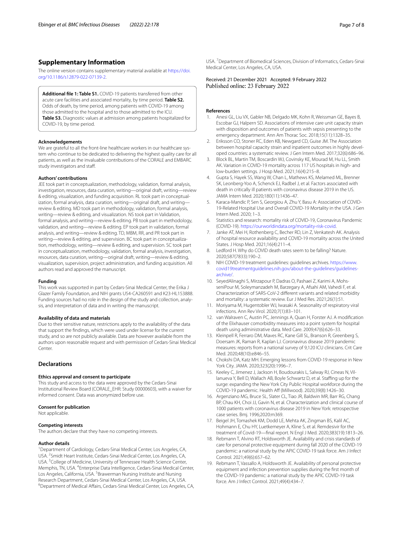# **Supplementary Information**

The online version contains supplementary material available at [https://doi.](https://doi.org/10.1186/s12879-022-07139-2) [org/10.1186/s12879-022-07139-2](https://doi.org/10.1186/s12879-022-07139-2).

<span id="page-6-10"></span>**Additional fle 1: Table S1.** COVID-19 patients transferred from other acute care facilities and associated mortality, by time period. **Table S2.** Odds of death, by time period, among patients with COVID-19 among those admitted to the hospital and to those admitted to the ICU. **Table S3.** Diagnostic values at admission among patients hospitalized for COVID-19, by time period.

#### **Acknowledgements**

We are grateful to all the front-line healthcare workers in our healthcare system who continue to be dedicated to delivering the highest quality care for all patients, as well as the invaluable contributions of the CORALE and EMBARC study investigators and staf.

#### **Authors' contributions**

JEE took part in conceptualization, methodology, validation, formal analysis, investigation, resources, data curation, writing—original draft, writing—review & editing, visualization, and funding acquisition. RL took part in conceptualization, formal analysis, data curation, writing—original draft, and writing review & editing. MD took part in methodology, validation, formal analysis, writing—review & editing, and visualization. NS took part in Validation, formal analysis, and writing—review & editing. PB took part in methodology, validation, and writing—review & editing. EP took part in validation, formal analysis, and writing—review & editing. TD, MBM, RR, and PR took part in writing—review & editing, and supervision. BC took part in conceptualization, methodology, writing—review & editing, and supervision. SC took part in conceptualization, methodology, validation, formal analysis, investigation, resources, data curation, writing—original draft, writing—review & editing, visualization, supervision, project administration, and funding acquisition. All authors read and approved the manuscript.

#### **Funding**

This work was supported in part by Cedars-Sinai Medical Center, the Erika J Glazer Family Foundation, and NIH grants U54-CA260591 and K23-HL153888. Funding sources had no role in the design of the study and collection, analysis, and interpretation of data and in writing the manuscript.

#### **Availability of data and materials**

Due to their sensitive nature, restrictions apply to the availability of the data that support the fndings, which were used under license for the current study, and so are not publicly available. Data are however available from the authors upon reasonable request and with permission of Cedars-Sinai Medical Center.

### **Declarations**

#### **Ethics approval and consent to participate**

This study and access to the data were approved by the Cedars-Sinai Institutional Review Board (CORALE\_EHR: Study 00000603), with a waiver for informed consent. Data was anonymized before use.

#### **Consent for publication**

Not applicable.

#### **Competing interests**

The authors declare that they have no competing interests.

## **Author details**

<sup>1</sup> Department of Cardiology, Cedars-Sinai Medical Center, Los Angeles, CA, USA. <sup>2</sup> Smidt Heart Institute, Cedars-Sinai Medical Center, Los Angeles, CA, USA.<sup>3</sup> College of Medicine, University of Tennessee Health Science Center, Memphis, TN, USA. <sup>4</sup> Enterprise Data Intelligence, Cedars-Sinai Medical Center, Los Angeles, California, USA. <sup>5</sup> Brawerman Nursing Institute and Nursing Research Department, Cedars-Sinai Medical Center, Los Angeles, CA, USA. <sup>6</sup>Department of Medical Affairs, Cedars-Sinai Medical Center, Los Angeles, CA,

USA. 7 Department of Biomedical Sciences, Division of Informatics, Cedars-Sinai Medical Center, Los Angeles, CA, USA.

Received: 21 December 2021 Accepted: 9 February 2022<br>Published online: 23 February 2022

## **References**

- <span id="page-6-0"></span>Anesi GL, Liu VX, Gabler NB, Delgado MK, Kohn R, Weissman GE, Bayes B, Escobar GJ, Halpern SD. Associations of intensive care unit capacity strain with disposition and outcomes of patients with sepsis presenting to the emergency department. Ann Am Thorac Soc. 2018;15(11):1328–35.
- <span id="page-6-1"></span>2. Eriksson CO, Stoner RC, Eden KB, Newgard CD, Guise JM. The Association between hospital capacity strain and inpatient outcomes in highly developed countries: a systematic review. J Gen Intern Med. 2017;32(6):686–96.
- <span id="page-6-2"></span>3. Block BL, Martin TM, Boscardin WJ, Covinsky KE, Mourad M, Hu LL, Smith AK. Variation in COVID-19 mortality across 117 US hospitals in high- and low-burden settings. J Hosp Med. 2021;16(4):215–8.
- <span id="page-6-16"></span>4. Gupta S, Hayek SS, Wang W, Chan L, Mathews KS, Melamed ML, Brenner SK, Leonberg-Yoo A, Schenck EJ, Radbel J, et al. Factors associated with death in critically ill patients with coronavirus disease 2019 in the US. JAMA Intern Med. 2020;180(11):1436–47.
- <span id="page-6-17"></span>5. Karaca-Mandic P, Sen S, Georgiou A, Zhu Y, Basu A: Association of COVID-19-Related Hospital Use and Overall COVID-19 Mortality in the USA. J Gen Intern Med. 2020; 1–3.
- <span id="page-6-3"></span>6. Statistics and research: mortality risk of COVID-19, Coronavirus Pandemic (COVID-19). <https://ourworldindata.org/mortality-risk-covid>.
- <span id="page-6-4"></span>7. Janke AT, Mei H, Rothenberg C, Becher RD, Lin Z, Venkatesh AK. Analysis of hospital resource availability and COVID-19 mortality across the United States. J Hosp Med. 2021;16(4):211–4.
- <span id="page-6-5"></span>8. Ledford H. Why do COVID death rates seem to be falling? Nature. 2020;587(7833):190–2.
- <span id="page-6-6"></span>9. NIH COVID-19 treatment guidelines: guidelines archives. [https://www.](https://www.covid19treatmentguidelines.nih.gov/about-the-guidelines/guidelines-archive/) [covid19treatmentguidelines.nih.gov/about-the-guidelines/guidelines](https://www.covid19treatmentguidelines.nih.gov/about-the-guidelines/guidelines-archive/)[archive/.](https://www.covid19treatmentguidelines.nih.gov/about-the-guidelines/guidelines-archive/)
- <span id="page-6-7"></span>10. SeyedAlinaghi S, Mirzapour P, Dadras O, Pashaei Z, Karimi A, MohsseniPour M, Soleymanzadeh M, Barzegary A, Afsahi AM, Vahedi F, et al. Characterization of SARS-CoV-2 diferent variants and related morbidity and mortality: a systematic review. Eur J Med Res. 2021;26(1):51.
- <span id="page-6-8"></span>11. Moriyama M, Hugentobler WJ, Iwasaki A. Seasonality of respiratory viral infections. Ann Rev Virol. 2020;7(1):83–101.
- <span id="page-6-9"></span>12. van Walraven C, Austin PC, Jennings A, Quan H, Forster AJ. A modifcation of the Elixhauser comorbidity measures into a point system for hospital death using administrative data. Med Care. 2009;47(6):626–33.
- <span id="page-6-11"></span>13. Kleinpell R, Ferraro DM, Maves RC, Kane Gill SL, Branson R, Greenberg S, Doersam JK, Raman R, Kaplan LJ. Coronavirus disease 2019 pandemic measures: reports from a national survey of 9,120 ICU clinicians. Crit Care Med. 2020;48(10):e846–55.
- 14. Chokshi DA, Katz MH. Emerging lessons from COVID-19 response in New York City. JAMA. 2020;323(20):1996–7.
- 15. Keeley C, Jimenez J, Jackson H, Boudourakis L, Salway RJ, Cineas N, Villanueva Y, Bell D, Wallach AB, Boyle Schwartz D, et al. Staffing up for the surge: expanding the New York City Public Hospital workforce during the COVID-19 pandemic. Health Af (Millwood). 2020;39(8):1426–30.
- <span id="page-6-12"></span>16. Argenziano MG, Bruce SL, Slater CL, Tiao JR, Baldwin MR, Barr RG, Chang BP, Chau KH, Choi JJ, Gavin N, et al. Characterization and clinical course of 1000 patients with coronavirus disease 2019 in New York: retrospective case series. Bmj. 1996;2020:m369.
- <span id="page-6-13"></span>17. Beigel JH, Tomashek KM, Dodd LE, Mehta AK, Zingman BS, Kalil AC, Hohmann E, Chu HY, Luetkemeyer A, Kline S, et al. Remdesivir for the treatment of Covid-19—fnal report. N Engl J Med. 2020;383(19):1813–26.
- <span id="page-6-14"></span>18. Rebmann T, Alvino RT, Holdsworth JE. Availability and crisis standards of care for personal protective equipment during fall 2020 of the COVID-19 pandemic: a national study by the APIC COVID-19 task force. Am J Infect Control. 2021;49(6):657–62.
- <span id="page-6-15"></span>19. Rebmann T, Vassallo A, Holdsworth JE. Availability of personal protective equipment and infection prevention supplies during the frst month of the COVID-19 pandemic: a national study by the APIC COVID-19 task force. Am J Infect Control. 2021;49(4):434–7.